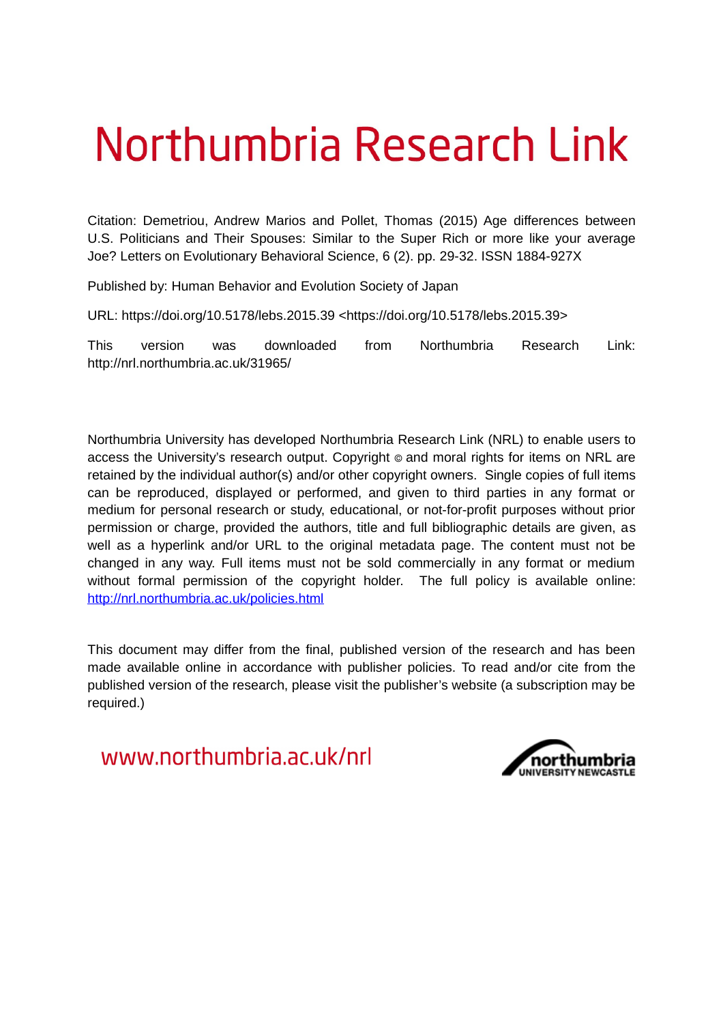# Northumbria Research Link

Citation: Demetriou, Andrew Marios and Pollet, Thomas (2015) Age differences between U.S. Politicians and Their Spouses: Similar to the Super Rich or more like your average Joe? Letters on Evolutionary Behavioral Science, 6 (2). pp. 29-32. ISSN 1884-927X

Published by: Human Behavior and Evolution Society of Japan

URL: https://doi.org/10.5178/lebs.2015.39 <https://doi.org/10.5178/lebs.2015.39>

This version was downloaded from Northumbria Research Link: http://nrl.northumbria.ac.uk/31965/

Northumbria University has developed Northumbria Research Link (NRL) to enable users to access the University's research output. Copyright  $\circ$  and moral rights for items on NRL are retained by the individual author(s) and/or other copyright owners. Single copies of full items can be reproduced, displayed or performed, and given to third parties in any format or medium for personal research or study, educational, or not-for-profit purposes without prior permission or charge, provided the authors, title and full bibliographic details are given, as well as a hyperlink and/or URL to the original metadata page. The content must not be changed in any way. Full items must not be sold commercially in any format or medium without formal permission of the copyright holder. The full policy is available online: <http://nrl.northumbria.ac.uk/policies.html>

This document may differ from the final, published version of the research and has been made available online in accordance with publisher policies. To read and/or cite from the published version of the research, please visit the publisher's website (a subscription may be required.)

www.northumbria.ac.uk/nrl

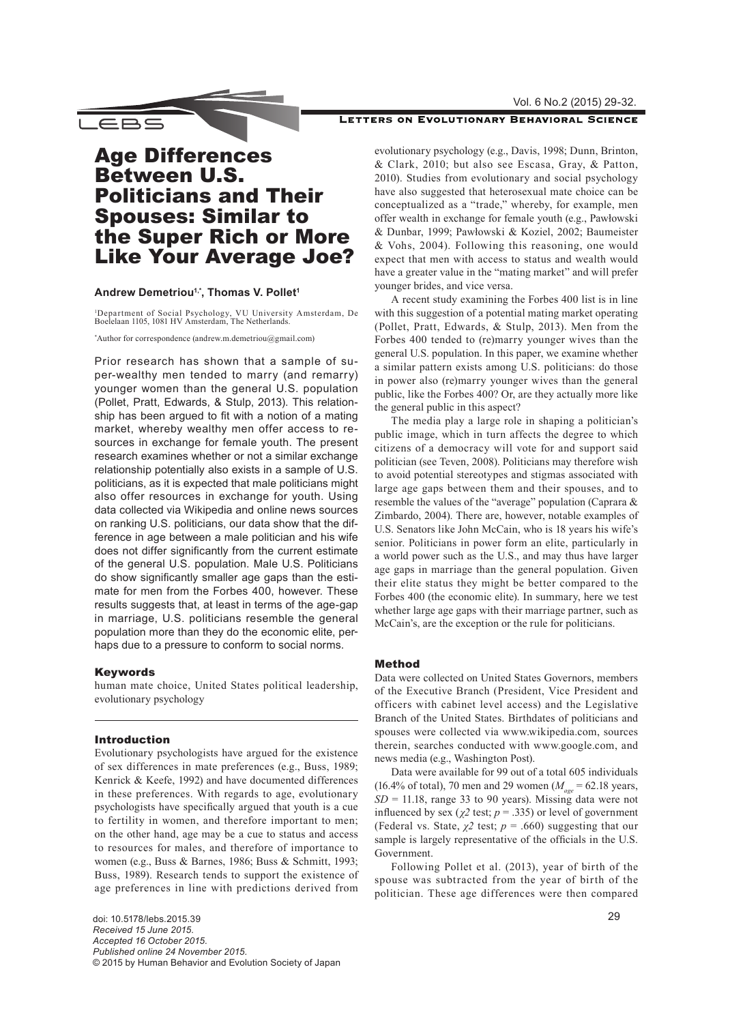Vol. 6 No.2 (2015) 29-32.

### LETTERS ON EVOLUTIONARY BEHAVIORAL SCIENCE

## Age Differences Between U.S. Politicians and Their Spouses: Similar to the Super Rich or More Like Your Average Joe?

Andrew Demetriou<sup>1,\*</sup>, Thomas V. Pollet<sup>1</sup>

\_EBS

1 Department of Social Psychology, VU University Amsterdam, De Boelelaan 1105, 1081 HV Amsterdam, The Netherlands.

\* Author for correspondence ([andrew.m.demetriou@gmail.com\)](mailto:andrew.m.demetriou%40gmail.com?subject=)

Prior research has shown that a sample of super-wealthy men tended to marry (and remarry) younger women than the general U.S. population (Pollet, Pratt, Edwards, & Stulp, 2013). This relationship has been argued to fit with a notion of a mating market, whereby wealthy men offer access to resources in exchange for female youth. The present research examines whether or not a similar exchange relationship potentially also exists in a sample of U.S. politicians, as it is expected that male politicians might also offer resources in exchange for youth. Using data collected via Wikipedia and online news sources on ranking U.S. politicians, our data show that the difference in age between a male politician and his wife does not differ significantly from the current estimate of the general U.S. population. Male U.S. Politicians do show significantly smaller age gaps than the estimate for men from the Forbes 400, however. These results suggests that, at least in terms of the age-gap in marriage, U.S. politicians resemble the general population more than they do the economic elite, perhaps due to a pressure to conform to social norms.

#### Keywords

human mate choice, United States political leadership, evolutionary psychology

#### Introduction

Evolutionary psychologists have argued for the existence of sex differences in mate preferences (e.g., Buss, 1989; Kenrick & Keefe, 1992) and have documented differences in these preferences. With regards to age, evolutionary psychologists have specifically argued that youth is a cue to fertility in women, and therefore important to men; on the other hand, age may be a cue to status and access to resources for males, and therefore of importance to women (e.g., Buss & Barnes, 1986; Buss & Schmitt, 1993; Buss, 1989). Research tends to support the existence of age preferences in line with predictions derived from

doi: 10.5178/lebs.2015.39 *Received 15 June 2015. Accepted 16 October 2015. Published online 24 November 2015.* © 2015 by Human Behavior and Evolution Society of Japan evolutionary psychology (e.g., Davis, 1998; Dunn, Brinton, & Clark, 2010; but also see Escasa, Gray, & Patton, 2010). Studies from evolutionary and social psychology have also suggested that heterosexual mate choice can be conceptualized as a "trade," whereby, for example, men offer wealth in exchange for female youth (e.g., Pawłowski & Dunbar, 1999; Pawłowski & Koziel, 2002; Baumeister & Vohs, 2004). Following this reasoning, one would expect that men with access to status and wealth would have a greater value in the "mating market" and will prefer younger brides, and vice versa.

A recent study examining the Forbes 400 list is in line with this suggestion of a potential mating market operating (Pollet, Pratt, Edwards, & Stulp, 2013). Men from the Forbes 400 tended to (re)marry younger wives than the general U.S. population. In this paper, we examine whether a similar pattern exists among U.S. politicians: do those in power also (re)marry younger wives than the general public, like the Forbes 400? Or, are they actually more like the general public in this aspect?

The media play a large role in shaping a politician's public image, which in turn affects the degree to which citizens of a democracy will vote for and support said politician (see Teven, 2008). Politicians may therefore wish to avoid potential stereotypes and stigmas associated with large age gaps between them and their spouses, and to resemble the values of the "average" population (Caprara & Zimbardo, 2004). There are, however, notable examples of U.S. Senators like John McCain, who is 18 years his wife's senior. Politicians in power form an elite, particularly in a world power such as the U.S., and may thus have larger age gaps in marriage than the general population. Given their elite status they might be better compared to the Forbes 400 (the economic elite). In summary, here we test whether large age gaps with their marriage partner, such as McCain's, are the exception or the rule for politicians.

#### Method

Data were collected on United States Governors, members of the Executive Branch (President, Vice President and officers with cabinet level access) and the Legislative Branch of the United States. Birthdates of politicians and spouses were collected via www.wikipedia.com, sources therein, searches conducted with www.google.com, and news media (e.g., Washington Post).

Data were available for 99 out of a total 605 individuals (16.4% of total), 70 men and 29 women (*Mage* = 62.18 years,  $SD = 11.18$ , range 33 to 90 years). Missing data were not influenced by sex ( $\chi$ <sup>2</sup> test;  $p = .335$ ) or level of government (Federal vs. State,  $\chi^2$  test;  $p = .660$ ) suggesting that our sample is largely representative of the officials in the U.S. Government.

Following Pollet et al. (2013), year of birth of the spouse was subtracted from the year of birth of the politician. These age differences were then compared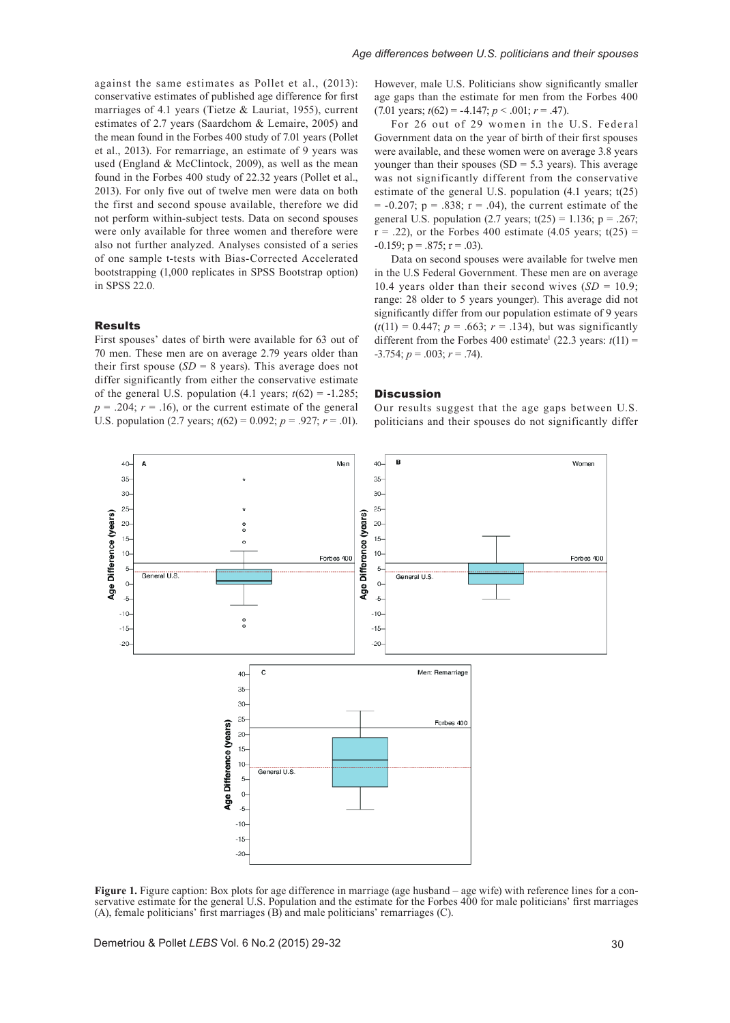against the same estimates as Pollet et al., (2013): conservative estimates of published age difference for first marriages of 4.1 years (Tietze & Lauriat, 1955), current estimates of 2.7 years (Saardchom & Lemaire, 2005) and the mean found in the Forbes 400 study of 7.01 years (Pollet et al., 2013). For remarriage, an estimate of 9 years was used (England & McClintock, 2009), as well as the mean found in the Forbes 400 study of 22.32 years (Pollet et al., 2013). For only five out of twelve men were data on both the first and second spouse available, therefore we did not perform within-subject tests. Data on second spouses were only available for three women and therefore were also not further analyzed. Analyses consisted of a series of one sample t-tests with Bias-Corrected Accelerated bootstrapping (1,000 replicates in SPSS Bootstrap option) in SPSS 22.0.

#### Results

First spouses' dates of birth were available for 63 out of 70 men. These men are on average 2.79 years older than their first spouse  $(SD = 8 \text{ years})$ . This average does not differ significantly from either the conservative estimate of the general U.S. population  $(4.1 \text{ years}; t(62) = -1.285;$  $p = .204$ ;  $r = .16$ ), or the current estimate of the general U.S. population (2.7 years;  $t(62) = 0.092$ ;  $p = .927$ ;  $r = .01$ ).

However, male U.S. Politicians show significantly smaller age gaps than the estimate for men from the Forbes 400  $(7.01 \text{ years}; t(62) = -4.147; p < .001; r = .47)$ .

For 26 out of 29 women in the U.S. Federal Government data on the year of birth of their first spouses were available, and these women were on average 3.8 years younger than their spouses  $(SD = 5.3 \text{ years})$ . This average was not significantly different from the conservative estimate of the general U.S. population (4.1 years; t(25)  $= -0.207$ ; p = .838; r = .04), the current estimate of the general U.S. population  $(2.7 \text{ years}; t(25) = 1.136; p = .267;$  $r = .22$ ), or the Forbes 400 estimate (4.05 years;  $t(25) =$  $-0.159$ ; p = .875; r = .03).

Data on second spouses were available for twelve men in the U.S Federal Government. These men are on average 10.4 years older than their second wives  $(SD = 10.9)$ ; range: 28 older to 5 years younger). This average did not significantly differ from our population estimate of 9 years  $(t(11) = 0.447; p = .663; r = .134$ , but was significantly different from the Forbes 400 estimate<sup>1</sup> (22.3 years:  $t(11) =$  $-3.754$ ;  $p = .003$ ;  $r = .74$ ).

#### **Discussion**

Our results suggest that the age gaps between U.S. politicians and their spouses do not significantly differ



**Figure 1.** Figure caption: Box plots for age difference in marriage (age husband – age wife) with reference lines for a conservative estimate for the general U.S. Population and the estimate for the Forbes 400 for male politicians' first marriages (A), female politicians' first marriages (B) and male politicians' remarriages (C).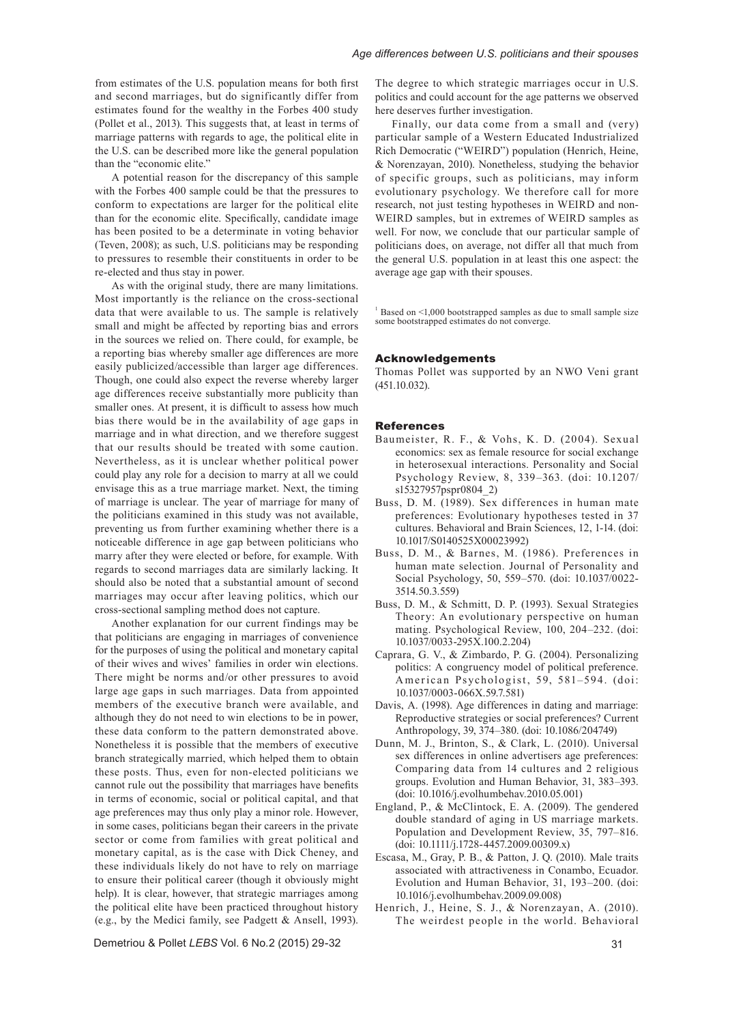from estimates of the U.S. population means for both first and second marriages, but do significantly differ from estimates found for the wealthy in the Forbes 400 study (Pollet et al., 2013). This suggests that, at least in terms of marriage patterns with regards to age, the political elite in the U.S. can be described more like the general population than the "economic elite."

A potential reason for the discrepancy of this sample with the Forbes 400 sample could be that the pressures to conform to expectations are larger for the political elite than for the economic elite. Specifically, candidate image has been posited to be a determinate in voting behavior (Teven, 2008); as such, U.S. politicians may be responding to pressures to resemble their constituents in order to be re-elected and thus stay in power.

As with the original study, there are many limitations. Most importantly is the reliance on the cross-sectional data that were available to us. The sample is relatively small and might be affected by reporting bias and errors in the sources we relied on. There could, for example, be a reporting bias whereby smaller age differences are more easily publicized/accessible than larger age differences. Though, one could also expect the reverse whereby larger age differences receive substantially more publicity than smaller ones. At present, it is difficult to assess how much bias there would be in the availability of age gaps in marriage and in what direction, and we therefore suggest that our results should be treated with some caution. Nevertheless, as it is unclear whether political power could play any role for a decision to marry at all we could envisage this as a true marriage market. Next, the timing of marriage is unclear. The year of marriage for many of the politicians examined in this study was not available, preventing us from further examining whether there is a noticeable difference in age gap between politicians who marry after they were elected or before, for example. With regards to second marriages data are similarly lacking. It should also be noted that a substantial amount of second marriages may occur after leaving politics, which our cross-sectional sampling method does not capture.

Another explanation for our current findings may be that politicians are engaging in marriages of convenience for the purposes of using the political and monetary capital of their wives and wives' families in order win elections. There might be norms and/or other pressures to avoid large age gaps in such marriages. Data from appointed members of the executive branch were available, and although they do not need to win elections to be in power, these data conform to the pattern demonstrated above. Nonetheless it is possible that the members of executive branch strategically married, which helped them to obtain these posts. Thus, even for non-elected politicians we cannot rule out the possibility that marriages have benefits in terms of economic, social or political capital, and that age preferences may thus only play a minor role. However, in some cases, politicians began their careers in the private sector or come from families with great political and monetary capital, as is the case with Dick Cheney, and these individuals likely do not have to rely on marriage to ensure their political career (though it obviously might help). It is clear, however, that strategic marriages among the political elite have been practiced throughout history (e.g., by the Medici family, see Padgett & Ansell, 1993).

Demetriou & Pollet *LEBS* Vol. 6 No.2 (2015) 29-32

The degree to which strategic marriages occur in U.S. politics and could account for the age patterns we observed here deserves further investigation.

Finally, our data come from a small and (very) particular sample of a Western Educated Industrialized Rich Democratic ("WEIRD") population (Henrich, Heine, & Norenzayan, 2010). Nonetheless, studying the behavior of specific groups, such as politicians, may inform evolutionary psychology. We therefore call for more research, not just testing hypotheses in WEIRD and non-WEIRD samples, but in extremes of WEIRD samples as well. For now, we conclude that our particular sample of politicians does, on average, not differ all that much from the general U.S. population in at least this one aspect: the average age gap with their spouses.

<sup>1</sup> Based on <1,000 bootstrapped samples as due to small sample size some bootstrapped estimates do not converge.

#### Acknowledgements

Thomas Pollet was supported by an NWO Veni grant (451.10.032).

#### References

- Baumeister, R. F., & Vohs, K. D. (2004). Sexual economics: sex as female resource for social exchange in heterosexual interactions. Personality and Social Psychology Review, 8, 339–363. [\(doi: 10.1207/](http://dx.doi.org/10.1207/s15327957pspr0804_2) [s15327957pspr0804\\_2](http://dx.doi.org/10.1207/s15327957pspr0804_2))
- Buss, D. M. (1989). Sex differences in human mate preferences: Evolutionary hypotheses tested in 37 cultures. Behavioral and Brain Sciences, 12, 1-14. [\(doi:](http://dx.doi.org/10.1017/S0140525X00023992)  [10.1017/S0140525X00023992\)](http://dx.doi.org/10.1017/S0140525X00023992)
- Buss, D. M., & Barnes, M. (1986). Preferences in human mate selection. Journal of Personality and Social Psychology, 50, 559–570. [\(doi: 10.1037/0022-](http://dx.doi.org/10.1037/0022-3514.50.3.559) [3514.50.3.559](http://dx.doi.org/10.1037/0022-3514.50.3.559))
- Buss, D. M., & Schmitt, D. P. (1993). Sexual Strategies Theory: An evolutionary perspective on human mating. Psychological Review, 100, 204–232. [\(doi:](http://dx.doi.org/10.1037/0033-295X.100.2.204)  [10.1037/0033-295X.100.2.204](http://dx.doi.org/10.1037/0033-295X.100.2.204))
- Caprara, G. V., & Zimbardo, P. G. (2004). Personalizing politics: A congruency model of political preference. American Psychologist, 59, 581–594. ([doi:](http://dx.doi.org/10.1037/0003-066X.59.7.581)  [10.1037/0003-066X.59.7.581\)](http://dx.doi.org/10.1037/0003-066X.59.7.581)
- Davis, A. (1998). Age differences in dating and marriage: Reproductive strategies or social preferences? Current Anthropology, 39, 374–380. [\(doi: 10.1086/204749\)](http://dx.doi.org/10.1086/204749)
- Dunn, M. J., Brinton, S., & Clark, L. (2010). Universal sex differences in online advertisers age preferences: Comparing data from 14 cultures and 2 religious groups. Evolution and Human Behavior, 31, 383–393. [\(doi: 10.1016/j.evolhumbehav.2010.05.001\)](http://dx.doi.org/10.1016/j.evolhumbehav.2010.05.001)
- England, P., & McClintock, E. A. (2009). The gendered double standard of aging in US marriage markets. Population and Development Review, 35, 797–816. [\(doi: 10.1111/j.1728-4457.2009.00309.x](http://dx.doi.org/10.1111/j.1728-4457.2009.00309.x))
- Escasa, M., Gray, P. B., & Patton, J. Q. (2010). Male traits associated with attractiveness in Conambo, Ecuador. Evolution and Human Behavior, 31, 193–200. [\(doi:](http://dx.doi.org/10.1016/j.evolhumbehav.2009.09.008)  [10.1016/j.evolhumbehav.2009.09.008](http://dx.doi.org/10.1016/j.evolhumbehav.2009.09.008))
- Henrich, J., Heine, S. J., & Norenzayan, A. (2010). The weirdest people in the world. Behavioral